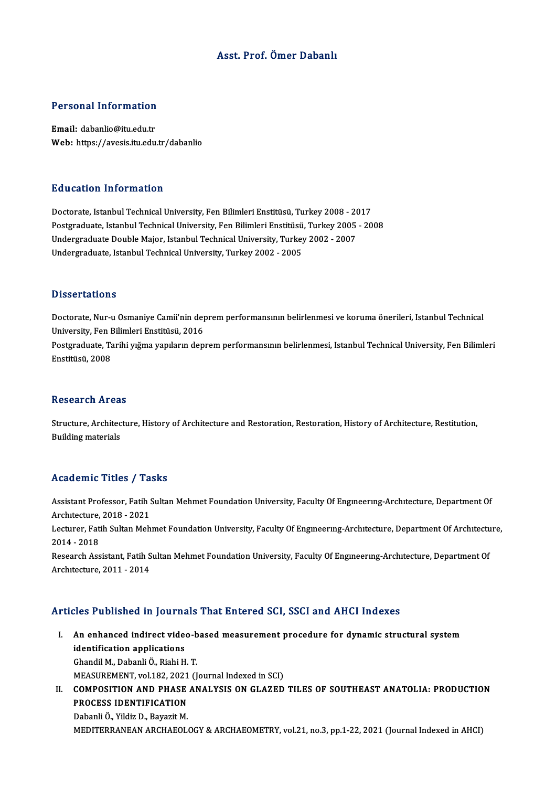### Asst. Prof. Ömer Dabanlı

# Personal Information

Personal Information<br>Email: dabanlio@itu.edu.tr<br>Web: https://avosis.itu.edu Email: dabanlio@itu.edu.tr<br>Web: https://avesis.itu.edu.tr/dabanlio

### Education Information

Doctorate, Istanbul Technical University, Fen Bilimleri Enstitüsü, Turkey 2008 - 2017 Postgraduate, Istanbul Technical University, Fen Bilimleri Enstitüsü, Turkey 2005 - 2008 Doctorate, Istanbul Technical University, Fen Bilimleri Enstitüsü, Turkey 2008 - 20<br>Postgraduate, Istanbul Technical University, Fen Bilimleri Enstitüsü, Turkey 2005<br>Undergraduate Double Major, Istanbul Technical Universit Postgraduate, Istanbul Technical University, Fen Bilimleri Enstitüsü<br>Undergraduate Double Major, Istanbul Technical University, Turkey<br>Undergraduate, Istanbul Technical University, Turkey 2002 - 2005 Undergraduate, Istanbul Technical University, Turkey 2002 - 2005<br>Dissertations

Doctorate, Nur-u Osmaniye Camii'nin deprem performansının belirlenmesi ve koruma önerileri, Istanbul Technical D'isser tatrems<br>Doctorate, Nur-u Osmaniye Camii'nin dep<br>University, Fen Bilimleri Enstitüsü, 2016<br>Postavaduate, Tarihi urğma yanıların danı Postgraduate, Tarihi yığma yapıların deprem performansının belirlenmesi, Istanbul Technical University, Fen Bilimleri<br>Enstitüsü, 2008 University, Fen I<br>Postgraduate, Ta<br>Enstitüsü, 2008

#### Research Areas

Research Areas<br>Structure, Architecture, History of Architecture and Restoration, Restoration, History of Architecture, Restitution,<br>Ruilding materials Rebeur en 111 eur<br>Structure, Architec<br>Building materials

## Building materials<br>Academic Titles / Tasks

Academic Titles / Tasks<br>Assistant Professor, Fatih Sultan Mehmet Foundation University, Faculty Of Engıneerıng-Archıtecture, Department Of Assistant Professor, Fatih 9<br>Architecture, 2018 - 2021<br>Lecturer, Fatih Sultan Meh Lecturer, Fatih Sultan Mehmet Foundation University, Faculty Of Engıneering-Architecture, Department Of Architecture,<br>2014 - 2018 Architecture, 2018 - 2021 Lecturer, Fatih Sultan Mehmet Foundation University, Faculty Of Engineering-Architecture, Department Of Architectu<br>2014 - 2018<br>Research Assistant, Fatih Sultan Mehmet Foundation University, Faculty Of Engineering-Architect 2014 - 2018<br>Research Assistant, Fatih S<br>Architecture, 2011 - 2014

## Architecture, 2011 - 2014<br>Articles Published in Journals That Entered SCI, SSCI and AHCI Indexes

- rticles Published in Journals That Entered SCI, SSCI and AHCI Indexes<br>I. An enhanced indirect video-based measurement procedure for dynamic structural system<br>identification enplications identification applications<br>identification applications<br>Chandil M. Dabanli Ö. Biabi H An enhanced indirect video-b<br>identification applications<br>Ghandil M., Dabanli Ö., Riahi H. T.<br>MEASUBEMENT vol 192, 2021 (L identification applications<br>Ghandil M., Dabanli Ö., Riahi H. T.<br>MEASUREMENT, vol.182, 2021 (Journal Indexed in SCI)<br>COMPOSITION AND PHASE ANALYSIS ON CLAZED Ghandil M., Dabanli Ö., Riahi H. T.<br>MEASUREMENT, vol.182, 2021 (Journal Indexed in SCI)<br>II. COMPOSITION AND PHASE ANALYSIS ON GLAZED TILES OF SOUTHEAST ANATOLIA: PRODUCTION<br>PROCESS IDENTIFICATION
- MEASUREMENT, vol.182, 2021<br>COMPOSITION AND PHASE<br>PROCESS IDENTIFICATION<br>Pebenli Ö. Vildiz D. Beyssit M COMPOSITION AND PHASE<br>PROCESS IDENTIFICATION<br>Dabanli Ö., Yildiz D., Bayazit M.<br>MEDITEPPANEAN APCHAEOL PROCESS IDENTIFICATION<br>Dabanli Ö., Yildiz D., Bayazit M.<br>MEDITERRANEAN ARCHAEOLOGY & ARCHAEOMETRY, vol.21, no.3, pp.1-22, 2021 (Journal Indexed in AHCI)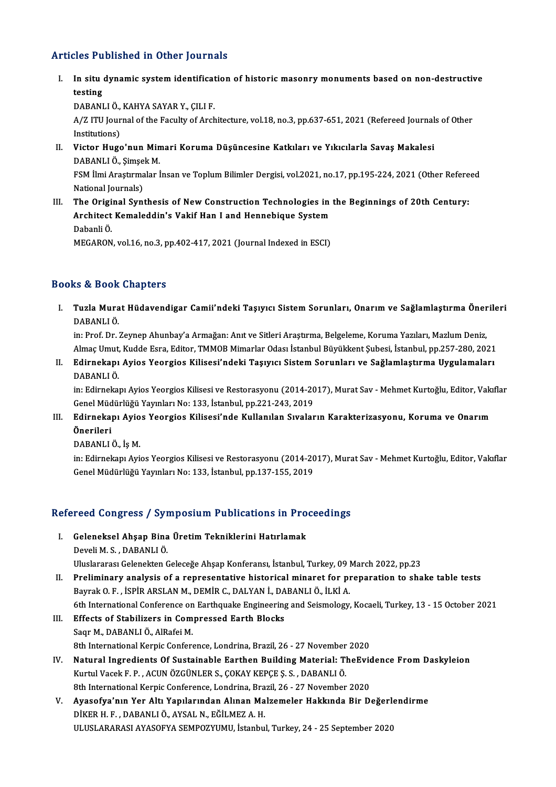### Articles Published in Other Journals

rticles Published in Other Journals<br>I. In situ dynamic system identification of historic masonry monuments based on non-destructive<br>testing In situ<br>In situ<br>testing In situ dynamic system identificat<br>testing<br>DABANLI Ö., KAHYA SAYAR Y., ÇILI F.<br>A (7 ITU Jaurnal of the Faculty of Arch

testing<br>DABANLI Ö., KAHYA SAYAR Y., ÇILI F.<br>A/Z ITU Journal of the Faculty of Architecture, vol.18, no.3, pp.637-651, 2021 (Refereed Journals of Other<br>Institutions) DABANLI Ö.,<br>A/Z ITU Jour<br>Institutions)<br>Victor Huge A/Z ITU Journal of the Faculty of Architecture, vol.18, no.3, pp.637-651, 2021 (Refereed Journal<br>Institutions)<br>II. Victor Hugo'nun Mimari Koruma Düşüncesine Katkıları ve Yıkıcılarla Savaş Makalesi<br>DARANLLÖ Simsek M

Institutions)<br>Victor Hugo'nun Min<br>DABANLI Ö., Şimşek M.<br>ESM <sup>İlmi Anastumalan İ</sup> Victor Hugo'nun Mimari Koruma Düşüncesine Katkıları ve Yıkıcılarla Savaş Makalesi<br>DABANLI Ö., Şimşek M.<br>FSM İlmi Araştırmalar İnsan ve Toplum Bilimler Dergisi, vol.2021, no.17, pp.195-224, 2021 (Other Refereed<br>National Jau

DABANLI Ö., Şimşek M.<br>FSM İlmi Araştırmalar İnsan ve Toplum Bilimler Dergisi, vol.2021, no.17, pp.195-224, 2021 (Other Refereed<br>National Journals) FSM İlmi Araştırmalar İnsan ve Toplum Bilimler Dergisi, vol.2021, no.17, pp.195-224, 2021 (Other Refere<br>National Journals)<br>III. The Original Synthesis of New Construction Technologies in the Beginnings of 20th Century:<br>Arc

National Journals)<br>The Original Synthesis of New Construction Technologies in<br>Architect Kemaleddin's Vakif Han I and Hennebique System<br>Pebanli Ö Architect Kemaleddin's Vakif Han I and Hennebique System<br>Dabanli Ö. MEGARON, vol.16, no.3, pp.402-417, 2021 (Journal Indexed in ESCI)

### Books&Book Chapters

ooks & Book Chapters<br>I. Tuzla Murat Hüdavendigar Camii'ndeki Taşıyıcı Sistem Sorunları, Onarım ve Sağlamlaştırma Önerileri<br>RARANU Ö ts & Book<br>Tuzla Mura<br>DABANLI Ö.<br>in: Pref. Dr. i Tuzla Murat Hüdavendigar Camii'ndeki Taşıyıcı Sistem Sorunları, Onarım ve Sağlamlaştırma Öner<br>DABANLI Ö.<br>in: Prof. Dr. Zeynep Ahunbay'a Armağan: Anıt ve Sitleri Araştırma, Belgeleme, Koruma Yazıları, Mazlum Deniz,<br>Almas Um

DABANLI Ö.<br>in: Prof. Dr. Zeynep Ahunbay'a Armağan: Anıt ve Sitleri Araştırma, Belgeleme, Koruma Yazıları, Mazlum Deniz,<br>Almaç Umut, Kudde Esra, Editor, TMMOB Mimarlar Odası İstanbul Büyükkent Subesi, İstanbul, pp.257-280, in: Prof. Dr. Zeynep Ahunbay'a Armağan: Anıt ve Sitleri Araştırma, Belgeleme, Koruma Yazıları, Mazlum Deniz,<br>Almaç Umut, Kudde Esra, Editor, TMMOB Mimarlar Odası İstanbul Büyükkent Şubesi, İstanbul, pp.257-280, 2021<br>II. Ed

Almaç Umut,<br><mark>Edirnekapı</mark><br>DABANLI Ö.<br>in: Edirnekal Edirnekapı Ayios Yeorgios Kilisesi'ndeki Taşıyıcı Sistem Sorunları ve Sağlamlaştırma Uygulamaları<br>DABANLI Ö.<br>in: Edirnekapı Ayios Yeorgios Kilisesi ve Restorasyonu (2014-2017), Murat Sav - Mehmet Kurtoğlu, Editor, Vakıflar

DABANLI Ö.<br>in: Edirnekapı Ayios Yeorgios Kilisesi ve Restorasyonu (2014-20<br>Genel Müdürlüğü Yayınları No: 133, İstanbul, pp.221-243, 2019<br>Edirnekapı Avies Yeorgies Kilisesi'nde Kullapılan Suvalar in: Edirnekapı Ayios Yeorgios Kilisesi ve Restorasyonu (2014-2017), Murat Sav - Mehmet Kurtoğlu, Editor, Vakı<br>Genel Müdürlüğü Yayınları No: 133, İstanbul, pp.221-243, 2019<br>III. Edirnekapı Ayios Yeorgios Kilisesi'nde Kullan

Genel Müdürlüğü Yayınları No: 133, İstanbul, pp.221-243, 2019<br>Edirnekapı Ayios Yeorgios Kilisesi'nde Kullanılan Sıvala:<br>Önerileri<br>DABANLI Ö., İş M. III. Edirnekapı Ayios Yeorgios Kilisesi'nde Kullanılan Sıvaların Karakterizasyonu, Koruma ve Onarım

Önerileri<br>DABANLI Ö., İş M.<br>in: Edirnekapı Ayios Yeorgios Kilisesi ve Restorasyonu (2014-2017), Murat Sav - Mehmet Kurtoğlu, Editor, Vakıflar<br>Conel Müdürlüğü Yayınları No. 133, İstanbul, pp. 137, 155, 2019 DABANLI Ö., İş M.<br>in: Edirnekapı Ayios Yeorgios Kilisesi ve Restorasyonu (2014-20<br>Genel Müdürlüğü Yayınları No: 133, İstanbul, pp.137-155, 2019

# Gener Muduriugu Yayımarı No: 133, Istanbul, pp.137-155, 2019<br>Refereed Congress / Symposium Publications in Proceedings

efereed Congress / Symposium Publications in Pro<br>I. Geleneksel Ahşap Bina Üretim Tekniklerini Hatırlamak<br>Davali M.S. DARANLLÖ I. Geleneksel Ahşap Bina Üretim Tekniklerini Hatırlamak<br>Develi M. S., DABANLI Ö.

Uluslararası Gelenekten Geleceğe Ahşap Konferansı, İstanbul, Turkey, 09 March 2022, pp.23

- Develi M. S. , DABANLI Ö.<br>Uluslararası Gelenekten Geleceğe Ahşap Konferansı, İstanbul, Turkey, 09 March 2022, pp.23<br>II. Preliminary analysis of a representative historical minaret for preparation to shake table tests<br>Peyre Uluslararası Gelenekten Geleceğe Ahşap Konferansı, İstanbul, Turkey, 09 l<br>Preliminary analysis of a representative historical minaret for pı<br>Bayrak O. F. , İSPİR ARSLAN M., DEMİR C., DALYAN İ., DABANLI Ö., İLKİ A.<br>Eth Inte Preliminary analysis of a representative historical minaret for preparation to shake table tests<br>Bayrak O. F. , İSPİR ARSLAN M., DEMİR C., DALYAN İ., DABANLI Ö., İLKİ A.<br>6th International Conference on Earthquake Engineeri Bayrak O. F., İSPİR ARSLAN M., DEMİR C., DALYAN İ., DA<br>6th International Conference on Earthquake Engineering<br>III. Effects of Stabilizers in Compressed Earth Blocks<br>Saar M. DARANLLÖ, AlBafoi M.
- 6th International Conference on<br>Effects of Stabilizers in Com<br>Saqr M., DABANLIÖ., AlRafei M.<br><sup>9th International Kornis Confore</sup> Saqr M., DABANLI Ö., AlRafei M.<br>8th International Kerpic Conference, Londrina, Brazil, 26 - 27 November 2020 Saqr M., DABANLI Ö., AlRafei M.<br>8th International Kerpic Conference, Londrina, Brazil, 26 - 27 November 2020<br>IV. Natural Ingredients Of Sustainable Earthen Building Material: TheEvidence From Daskyleion<br>Kurtul Vasek E.B. A
- 8th International Kerpic Conference, Londrina, Brazil, 26 27 November<br>Natural Ingredients Of Sustainable Earthen Building Material: T<br>Kurtul Vacek F. P. , ACUN ÖZGÜNLER S., ÇOKAY KEPÇE Ş. S. , DABANLI Ö.<br><sup>9th</sup> Internatio Natural Ingredients Of Sustainable Earthen Building Material: TheEvic<br>Kurtul Vacek F. P., ACUN ÖZGÜNLER S., ÇOKAY KEPÇE Ş. S., DABANLI Ö.<br>8th International Kerpic Conference, Londrina, Brazil, 26 - 27 November 2020<br>Avasefy Kurtul Vacek F. P. , ACUN ÖZGÜNLER S., ÇOKAY KEPÇE Ş. S. , DABANLI Ö.<br>8th International Kerpic Conference, Londrina, Brazil, 26 - 27 November 2020<br>V. Ayasofya'nın Yer Altı Yapılarından Alınan Malzemeler Hakkında Bir De
- 8th International Kerpic Conference, Londrina, Bra<br>Ayasofya'nın Yer Altı Yapılarından Alınan Ma<br>DİKER H. F. , DABANLI Ö., AYSAL N., EĞİLMEZ A. H.<br>HLUSLARARASLAYASOEYA SEMPOZYUMLI İstanbu Ayasofya'nın Yer Altı Yapılarından Alınan Malzemeler Hakkında Bir Değerl<br>DİKER H. F. , DABANLI Ö., AYSAL N., EĞİLMEZ A. H.<br>ULUSLARARASI AYASOFYA SEMPOZYUMU, İstanbul, Turkey, 24 - 25 September 2020